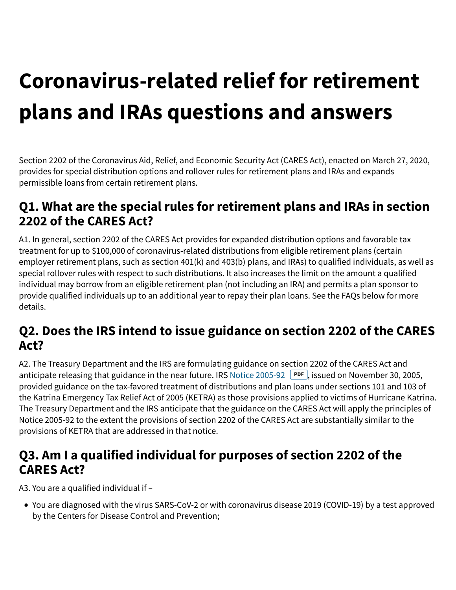# **Coronavirus-related relief for retirement plans and IRAs questions and answers**

Section 2202 of the Coronavirus Aid, Relief, and Economic Security Act (CARES Act), enacted on March 27, 2020, provides for special distribution options and rollover rules for retirement plans and IRAs and expands permissible loans from certain retirement plans.

#### **Q1. What are the special rules for retirement plans and IRAs in section 2202 of the CARES Act?**

A1. In general, section 2202 of the CARES Act provides for expanded distribution options and favorable tax treatment for up to \$100,000 of coronavirus-related distributions from eligible retirement plans (certain employer retirement plans, such as section 401(k) and 403(b) plans, and IRAs) to qualified individuals, as well as special rollover rules with respect to such distributions. It also increases the limit on the amount a qualified individual may borrow from an eligible retirement plan (not including an IRA) and permits a plan sponsor to provide qualified individuals up to an additional year to repay their plan loans. See the FAQs below for more details.

#### **Q2. Does the IRS intend to issue guidance on section 2202 of the CARES Act?**

A2. The Treasury Department and the IRS are formulating guidance on section 2202 of the CARES Act and anticipate releasing that guidance in the near future. IRS Notice 2005-92 **PDF**, issued on November 30, 2005, provided guidance on the tax-favored treatment of distributions and plan loans under sections 101 and 103 of the Katrina Emergency Tax Relief Act of 2005 (KETRA) as those provisions applied to victims of Hurricane Katrina. The Treasury Department and the IRS anticipate that the guidance on the CARES Act will apply the principles of Notice 2005-92 to the extent the provisions of section 2202 of the CARES Act are substantially similar to the provisions of KETRA that are addressed in that notice.

## **Q3. Am I a qualified individual for purposes of section 2202 of the CARES Act?**

A3. You are a qualified individual if –

You are diagnosed with the virus SARS-CoV-2 or with coronavirus disease 2019 (COVID-19) by a test approved by the Centers for Disease Control and Prevention;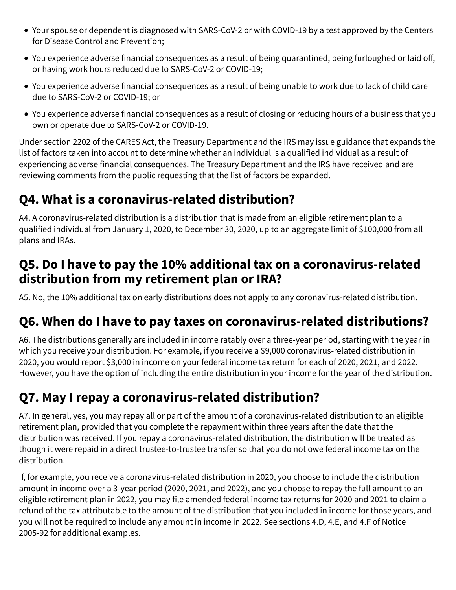- Your spouse or dependent is diagnosed with SARS-CoV-2 or with COVID-19 by a test approved by the Centers for Disease Control and Prevention;
- You experience adverse financial consequences as a result of being quarantined, being furloughed or laid off, or having work hours reduced due to SARS-CoV-2 or COVID-19;
- You experience adverse financial consequences as a result of being unable to work due to lack of child care due to SARS-CoV-2 or COVID-19; or
- You experience adverse financial consequences as a result of closing or reducing hours of a business that you own or operate due to SARS-CoV-2 or COVID-19.

Under section 2202 of the CARES Act, the Treasury Department and the IRS may issue guidance that expands the list of factors taken into account to determine whether an individual is a qualified individual as a result of experiencing adverse financial consequences. The Treasury Department and the IRS have received and are reviewing comments from the public requesting that the list of factors be expanded.

## **Q4. What is a coronavirus-related distribution?**

A4. A coronavirus-related distribution is a distribution that is made from an eligible retirement plan to a qualified individual from January 1, 2020, to December 30, 2020, up to an aggregate limit of \$100,000 from all plans and IRAs.

#### **Q5. Do I have to pay the 10% additional tax on a coronavirus-related distribution from my retirement plan or IRA?**

A5. No, the 10% additional tax on early distributions does not apply to any coronavirus-related distribution.

#### **Q6. When do I have to pay taxes on coronavirus-related distributions?**

A6. The distributions generally are included in income ratably over a three-year period, starting with the year in which you receive your distribution. For example, if you receive a \$9,000 coronavirus-related distribution in 2020, you would report \$3,000 in income on your federal income tax return for each of 2020, 2021, and 2022. However, you have the option of including the entire distribution in your income for the year of the distribution.

## **Q7. May I repay a coronavirus-related distribution?**

A7. In general, yes, you may repay all or part of the amount of a coronavirus-related distribution to an eligible retirement plan, provided that you complete the repayment within three years after the date that the distribution was received. If you repay a coronavirus-related distribution, the distribution will be treated as though it were repaid in a direct trustee-to-trustee transfer so that you do not owe federal income tax on the distribution.

If, for example, you receive a coronavirus-related distribution in 2020, you choose to include the distribution amount in income over a 3-year period (2020, 2021, and 2022), and you choose to repay the full amount to an eligible retirement plan in 2022, you may file amended federal income tax returns for 2020 and 2021 to claim a refund of the tax attributable to the amount of the distribution that you included in income for those years, and you will not be required to include any amount in income in 2022. See sections 4.D, 4.E, and 4.F of Notice 2005-92 for additional examples.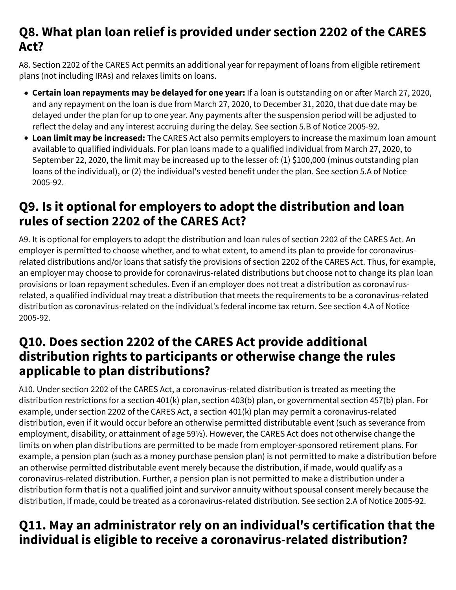#### **Q8. What plan loan relief is provided under section 2202 of the CARES Act?**

A8. Section 2202 of the CARES Act permits an additional year for repayment of loans from eligible retirement plans (not including IRAs) and relaxes limits on loans.

- **Certain loan repayments may be delayed for one year:** If a loan is outstanding on or after March 27, 2020, and any repayment on the loan is due from March 27, 2020, to December 31, 2020, that due date may be delayed under the plan for up to one year. Any payments after the suspension period will be adjusted to reflect the delay and any interest accruing during the delay. See section 5.B of Notice 2005-92.
- **Loan limit may be increased:** The CARES Act also permits employers to increase the maximum loan amount available to qualified individuals. For plan loans made to a qualified individual from March 27, 2020, to September 22, 2020, the limit may be increased up to the lesser of: (1) \$100,000 (minus outstanding plan loans of the individual), or (2) the individual's vested benefit under the plan. See section 5.A of Notice 2005-92.

## **Q9. Is it optional for employers to adopt the distribution and loan rules of section 2202 of the CARES Act?**

A9. It is optional for employers to adopt the distribution and loan rules of section 2202 of the CARES Act. An employer is permitted to choose whether, and to what extent, to amend its plan to provide for coronavirusrelated distributions and/or loans that satisfy the provisions of section 2202 of the CARES Act. Thus, for example, an employer may choose to provide for coronavirus-related distributions but choose not to change its plan loan provisions or loan repayment schedules. Even if an employer does not treat a distribution as coronavirusrelated, a qualified individual may treat a distribution that meets the requirements to be a coronavirus-related distribution as coronavirus-related on the individual's federal income tax return. See section 4.A of Notice 2005-92.

#### **Q10. Does section 2202 of the CARES Act provide additional distribution rights to participants or otherwise change the rules applicable to plan distributions?**

A10. Under section 2202 of the CARES Act, a coronavirus-related distribution is treated as meeting the distribution restrictions for a section 401(k) plan, section 403(b) plan, or governmental section 457(b) plan. For example, under section 2202 of the CARES Act, a section 401(k) plan may permit a coronavirus-related distribution, even if it would occur before an otherwise permitted distributable event (such as severance from employment, disability, or attainment of age 59½). However, the CARES Act does not otherwise change the limits on when plan distributions are permitted to be made from employer-sponsored retirement plans. For example, a pension plan (such as a money purchase pension plan) is not permitted to make a distribution before an otherwise permitted distributable event merely because the distribution, if made, would qualify as a coronavirus-related distribution. Further, a pension plan is not permitted to make a distribution under a distribution form that is not a qualified joint and survivor annuity without spousal consent merely because the distribution, if made, could be treated as a coronavirus-related distribution. See section 2.A of Notice 2005-92.

## **Q11. May an administrator rely on an individual's certification that the individual is eligible to receive a coronavirus-related distribution?**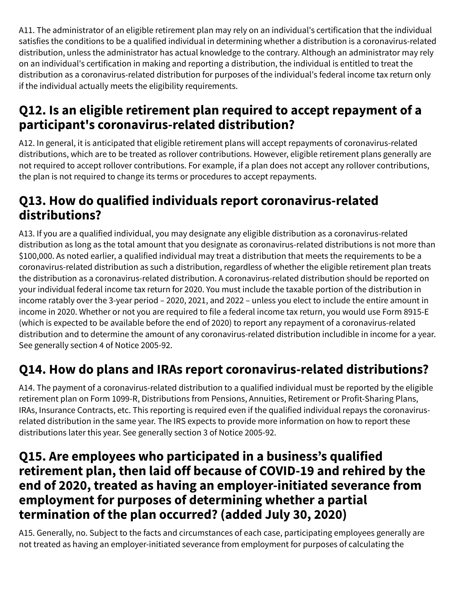A11. The administrator of an eligible retirement plan may rely on an individual's certification that the individual satisfies the conditions to be a qualified individual in determining whether a distribution is a coronavirus-related distribution, unless the administrator has actual knowledge to the contrary. Although an administrator may rely on an individual's certification in making and reporting a distribution, the individual is entitled to treat the distribution as a coronavirus-related distribution for purposes of the individual's federal income tax return only if the individual actually meets the eligibility requirements.

## **Q12. Is an eligible retirement plan required to accept repayment of a participant's coronavirus-related distribution?**

A12. In general, it is anticipated that eligible retirement plans will accept repayments of coronavirus-related distributions, which are to be treated as rollover contributions. However, eligible retirement plans generally are not required to accept rollover contributions. For example, if a plan does not accept any rollover contributions, the plan is not required to change its terms or procedures to accept repayments.

## **Q13. How do qualified individuals report coronavirus-related distributions?**

A13. If you are a qualified individual, you may designate any eligible distribution as a coronavirus-related distribution as long as the total amount that you designate as coronavirus-related distributions is not more than \$100,000. As noted earlier, a qualified individual may treat a distribution that meets the requirements to be a coronavirus-related distribution as such a distribution, regardless of whether the eligible retirement plan treats the distribution as a coronavirus-related distribution. A coronavirus-related distribution should be reported on your individual federal income tax return for 2020. You must include the taxable portion of the distribution in income ratably over the 3-year period – 2020, 2021, and 2022 – unless you elect to include the entire amount in income in 2020. Whether or not you are required to file a federal income tax return, you would use Form 8915-E (which is expected to be available before the end of 2020) to report any repayment of a coronavirus-related distribution and to determine the amount of any coronavirus-related distribution includible in income for a year. See generally section 4 of Notice 2005-92.

## **Q14. How do plans and IRAs report coronavirus-related distributions?**

A14. The payment of a coronavirus-related distribution to a qualified individual must be reported by the eligible retirement plan on Form 1099-R, Distributions from Pensions, Annuities, Retirement or Profit-Sharing Plans, IRAs, Insurance Contracts, etc. This reporting is required even if the qualified individual repays the coronavirusrelated distribution in the same year. The IRS expects to provide more information on how to report these distributions later this year. See generally section 3 of Notice 2005-92.

#### **Q15. Are employees who participated in a business's qualified retirement plan, then laid off because of COVID-19 and rehired by the end of 2020, treated as having an employer-initiated severance from employment for purposes of determining whether a partial termination of the plan occurred? (added July 30, 2020)**

A15. Generally, no. Subject to the facts and circumstances of each case, participating employees generally are not treated as having an employer-initiated severance from employment for purposes of calculating the